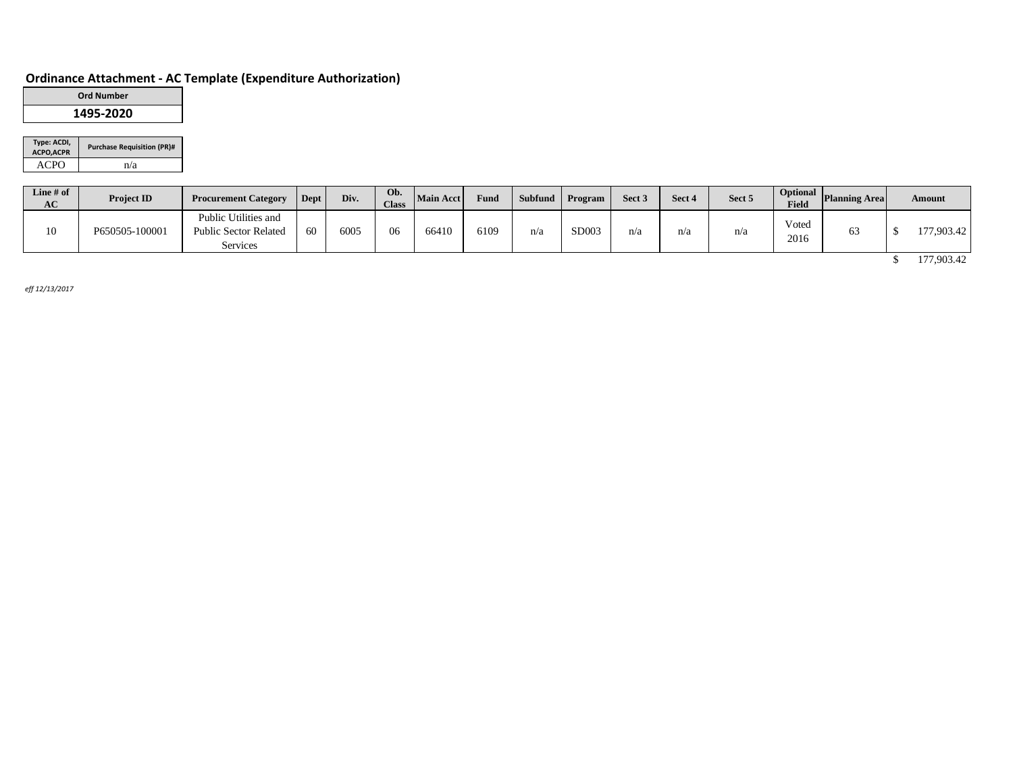# **Ordinance Attachment - AC Template (Expenditure Authorization)**

| <b>Ord Number</b> |  |
|-------------------|--|
| 1495-2020         |  |

| Type: ACDI,<br><b>ACPO, ACPR</b> | <b>Purchase Requisition (PR)#</b> |
|----------------------------------|-----------------------------------|
| ACPO                             | n/a                               |

| Line $#$ of<br>AC | <b>Project ID</b> | <b>Procurement Category</b>                                             | Dept | Div. | Ob.<br><b>Class</b> | Main Acct | Fund |     | Subfund Program | Sect <sub>3</sub> | Sect 4 | Sect 5 | Field         | <b>Depending Service Areal</b> | <b>Amount</b> |
|-------------------|-------------------|-------------------------------------------------------------------------|------|------|---------------------|-----------|------|-----|-----------------|-------------------|--------|--------|---------------|--------------------------------|---------------|
| 10                | P650505-100001    | Public Utilities and<br><b>Public Sector Related</b><br><b>Services</b> | 60   | 6005 | 06                  | 66410     | 6109 | n/a | SD003           | n/a               | n/a    | n/a    | Voted<br>2016 | 63                             | 177,903.42    |
|                   |                   |                                                                         |      |      |                     |           |      |     |                 |                   |        |        |               |                                | 177,903.42    |

*eff 12/13/2017*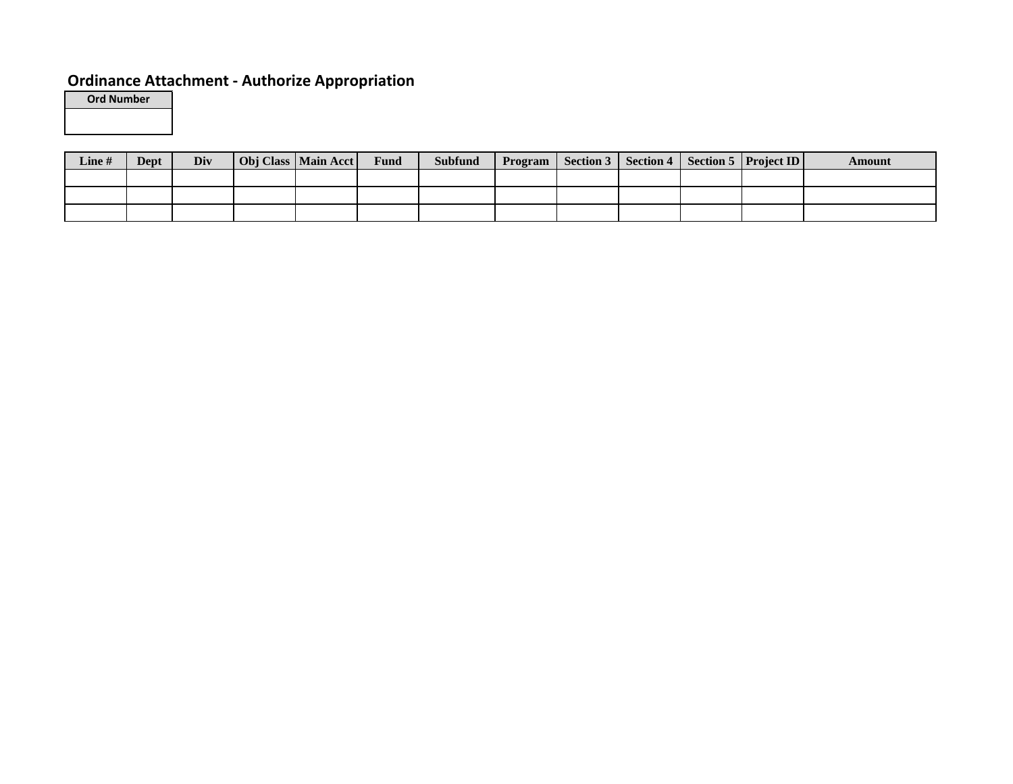# **Ordinance Attachment - Authorize Appropriation**

**Ord Number**

| <b>Line</b> # | Dept | Div | Obj Class   Main Acct | Fund | <b>Subfund</b> | Program   Section 3   Section 4 |  | Section 5   Project ID | Amount |
|---------------|------|-----|-----------------------|------|----------------|---------------------------------|--|------------------------|--------|
|               |      |     |                       |      |                |                                 |  |                        |        |
|               |      |     |                       |      |                |                                 |  |                        |        |
|               |      |     |                       |      |                |                                 |  |                        |        |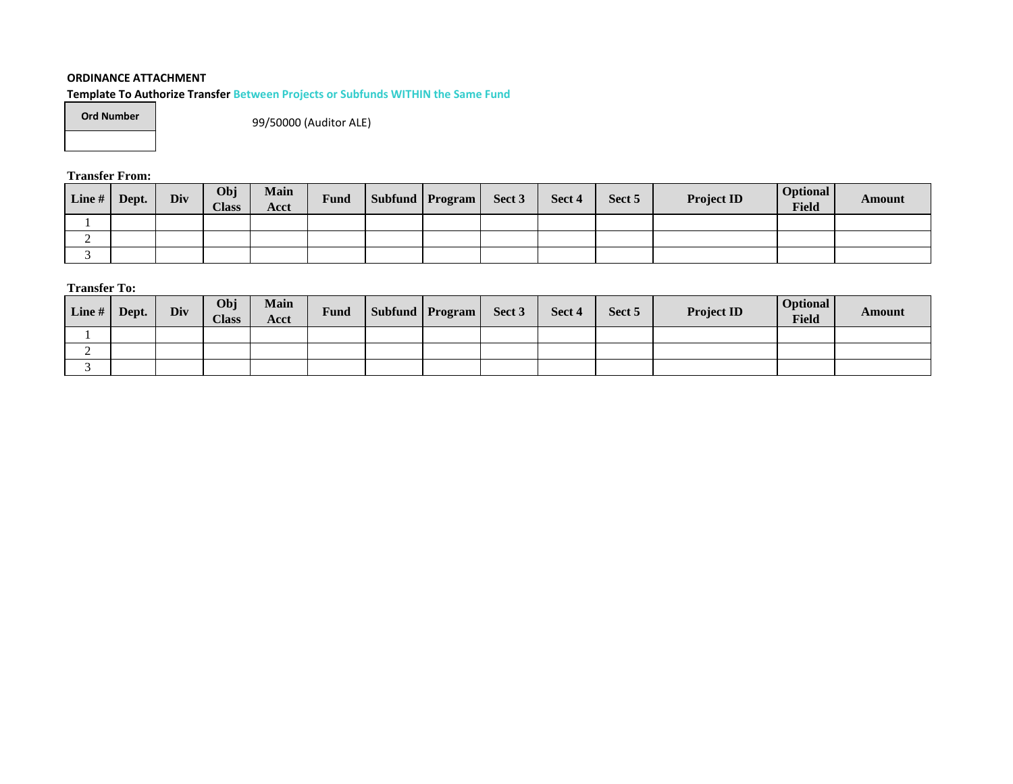## **ORDINANCE ATTACHMENT**

**Template To Authorize Transfer Between Projects or Subfunds WITHIN the Same Fund**

| <b>Ord Number</b> |  |
|-------------------|--|
|-------------------|--|

99/50000 (Auditor ALE)

**Transfer From:**

| Line# | Dept. | Div | Obj<br><b>Class</b> | <b>Main</b><br>Acct | Fund | Subfund   Program | Sect 3 | Sect 4 | Sect 5 | <b>Project ID</b> | <b>Optional</b><br>Field | Amount |
|-------|-------|-----|---------------------|---------------------|------|-------------------|--------|--------|--------|-------------------|--------------------------|--------|
|       |       |     |                     |                     |      |                   |        |        |        |                   |                          |        |
| ∽     |       |     |                     |                     |      |                   |        |        |        |                   |                          |        |
|       |       |     |                     |                     |      |                   |        |        |        |                   |                          |        |

**Transfer To:**

| $\lfloor$ Line # $\rfloor$ | Dept. | Div | Obj<br><b>Class</b> | <b>Main</b><br>Acct | Fund | Subfund   Program | Sect 3 | Sect 4 | Sect 5 | <b>Project ID</b> | <b>Optional</b><br><b>Field</b> | Amount |
|----------------------------|-------|-----|---------------------|---------------------|------|-------------------|--------|--------|--------|-------------------|---------------------------------|--------|
|                            |       |     |                     |                     |      |                   |        |        |        |                   |                                 |        |
| ∼                          |       |     |                     |                     |      |                   |        |        |        |                   |                                 |        |
|                            |       |     |                     |                     |      |                   |        |        |        |                   |                                 |        |